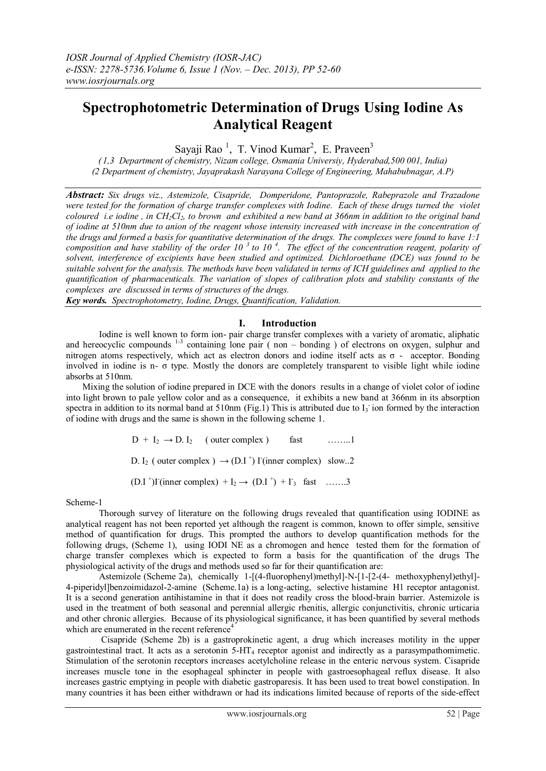# **Spectrophotometric Determination of Drugs Using Iodine As Analytical Reagent**

Sayaji Rao<sup>1</sup>, T. Vinod Kumar<sup>2</sup>, E. Praveen<sup>3</sup>

*( 1,3 Department of chemistry, Nizam college, Osmania Universiy, Hyderabad,500 001, India) (2 Department of chemistry, Jayaprakash Narayana College of Engineering, Mahabubnagar, A.P)*

*Abstract: Six drugs viz., Astemizole, Cisapride, Domperidone, Pantoprazole, Rabeprazole and Trazadone were tested for the formation of charge transfer complexes with Iodine. Each of these drugs turned the violet coloured i.e iodine , in CH2Cl2, to brown and exhibited a new band at 366nm in addition to the original band of iodine at 510nm due to anion of the reagent whose intensity increased with increase in the concentration of the drugs and formed a basis for quantitative determination of the drugs. The complexes were found to have 1:1 composition and have stability of the order 10 <sup>3</sup>to 10 <sup>4</sup> . The effect of the concentration reagent, polarity of solvent, interference of excipients have been studied and optimized. Dichloroethane (DCE) was found to be suitable solvent for the analysis. The methods have been validated in terms of ICH guidelines and applied to the quantification of pharmaceuticals. The variation of slopes of calibration plots and stability constants of the complexes are discussed in terms of structures of the drugs.*

*Key words. Spectrophotometry, Iodine, Drugs, Quantification, Validation.*

# **I. Introduction**

Iodine is well known to form ion- pair charge transfer complexes with a variety of aromatic, aliphatic and hereocyclic compounds  $1-3$  containing lone pair (non – bonding) of electrons on oxygen, sulphur and nitrogen atoms respectively, which act as electron donors and iodine itself acts as σ - acceptor. Bonding involved in iodine is n- $\sigma$  type. Mostly the donors are completely transparent to visible light while iodine absorbs at 510nm.

Mixing the solution of iodine prepared in DCE with the donors results in a change of violet color of iodine into light brown to pale yellow color and as a consequence, it exhibits a new band at 366nm in its absorption spectra in addition to its normal band at 510nm (Fig.1) This is attributed due to  $I_3$  ion formed by the interaction of iodine with drugs and the same is shown in the following scheme 1.

> $D + I_2 \rightarrow D$ . I<sub>2</sub> (outer complex ) fast ……...1 D. I<sub>2</sub> ( outer complex )  $\rightarrow$  (D.I<sup>+</sup>) I<sup>-</sup>(inner complex) slow..2  $(D.I^+)$ I<sup>-</sup>(inner complex) + I<sub>2</sub> →  $(D.I^+)$  + I<sub>3</sub> fast …….3

Scheme-1

Thorough survey of literature on the following drugs revealed that quantification using IODINE as analytical reagent has not been reported yet although the reagent is common, known to offer simple, sensitive method of quantification for drugs. This prompted the authors to develop quantification methods for the following drugs, (Scheme 1), using IODI NE as a chromogen and hence tested them for the formation of charge transfer complexes which is expected to form a basis for the quantification of the drugs The physiological activity of the drugs and methods used so far for their quantification are:

Astemizole (Scheme 2a), chemically 1-[(4-fluorophenyl)methyl]-N-[1-[2-(4- methoxyphenyl)ethyl]- 4-piperidyl]benzoimidazol-2-amine (Scheme.1a) is a long-acting, selective histamine H1 receptor antagonist. It is a second generation antihistamine in that it does not readily cross the blood-brain barrier. Astemizole is used in the treatment of both seasonal and perennial allergic rhenitis, allergic conjunctivitis, chronic urticaria and other chronic allergies. Because of its physiological significance, it has been quantified by several methods which are enumerated in the recent reference<sup>4</sup>

Cisapride (Scheme 2b) is a [gastroprokinetic agent,](http://en.wikipedia.org/wiki/Gastroprokinetic_agent) a [drug](http://en.wikipedia.org/wiki/Pharmaceutical_drug) which increases [motility](http://en.wikipedia.org/wiki/Motility) in the upper [gastrointestinal tract.](http://en.wikipedia.org/wiki/Gastrointestinal_tract) It acts as a [serotonin](http://en.wikipedia.org/wiki/Serotonin) 5-HT<sup>4</sup> [receptor](http://en.wikipedia.org/wiki/5-HT4_receptor) [agonist](http://en.wikipedia.org/wiki/Agonist) and indirectly as a [parasympathomimetic.](http://en.wikipedia.org/wiki/Parasympathomimetic) Stimulation of the serotonin receptors increases [acetylcholine](http://en.wikipedia.org/wiki/Acetylcholine) release in the [enteric nervous system.](http://en.wikipedia.org/wiki/Enteric_nervous_system) Cisapride increases [muscle tone](http://en.wikipedia.org/wiki/Muscle_tone) in the [esophageal](http://en.wikipedia.org/wiki/Esophagus) [sphincter](http://en.wikipedia.org/wiki/Sphincter) in people with [gastroesophageal reflux disease.](http://en.wikipedia.org/wiki/Gastroesophageal_reflux_disease) It also increases gastric emptying in people with diabetic [gastroparesis.](http://en.wikipedia.org/wiki/Gastroparesis) It has been used to treat bowel [constipation.](http://en.wikipedia.org/wiki/Constipation) In many countries it has been either withdrawn or had its indications limited because of reports of the side-effect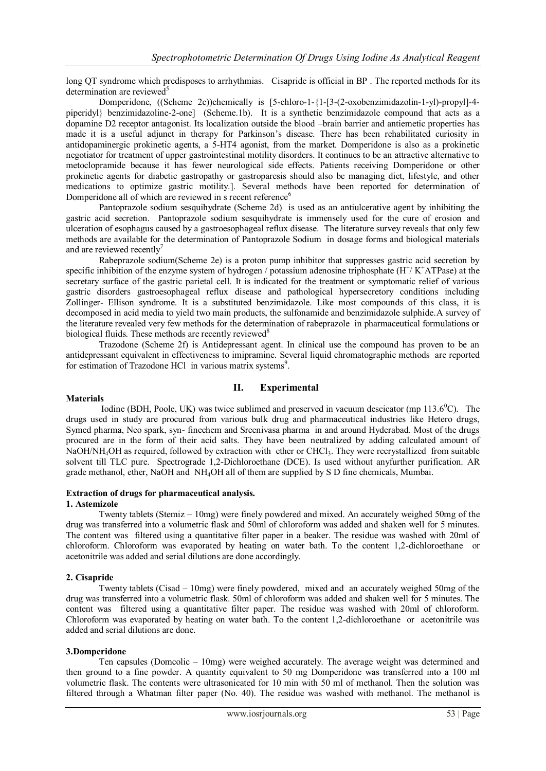[long QT syndrome](http://en.wikipedia.org/wiki/Long_QT_syndrome) which predisposes to [arrhythmias.](http://en.wikipedia.org/wiki/Arrhythmia) Cisapride is official in BP . The reported methods for its determination are reviewed $5$ 

Domperidone, ((Scheme 2c))chemically is [5-chloro-1-{1-[3-(2-oxobenzimidazolin-1-yl)-propyl]-4 piperidyl} benzimidazoline-2-one] (Scheme.1b). It is a synthetic benzimidazole compound that acts as a dopamine D2 receptor antagonist. Its localization outside the blood –brain barrier and antiemetic properties has made it is a useful adjunct in therapy for Parkinson's disease. There has been rehabilitated curiosity in antidopaminergic prokinetic agents, a 5-HT4 agonist, from the market. Domperidone is also as a prokinetic negotiator for treatment of upper gastrointestinal motility disorders. It continues to be an attractive alternative to metoclopramide because it has fewer neurological side effects. Patients receiving Domperidone or other prokinetic agents for diabetic gastropathy or gastroparesis should also be managing diet, lifestyle, and other medications to optimize gastric motility.]. Several methods have been reported for determination of Domperidone all of which are reviewed in s recent reference<sup>6</sup>

Pantoprazole sodium sesquihydrate (Scheme 2d) is used as an antiulcerative agent by inhibiting the gastric acid secretion. Pantoprazole sodium sesquihydrate is immensely used for the cure of erosion and ulceration of esophagus caused by a gastroesophageal reflux disease. The literature survey reveals that only few methods are available for the determination of Pantoprazole Sodium in dosage forms and biological materials and are reviewed recently<sup>7</sup>

Rabeprazole sodium(Scheme 2e) is a proton pump inhibitor that suppresses gastric acid secretion by specific inhibition of the enzyme system of hydrogen / potassium adenosine triphosphate  $(H^+/K^+ATPase)$  at the secretary surface of the gastric parietal cell. It is indicated for the treatment or symptomatic relief of various gastric disorders gastroesophageal reflux disease and pathological hypersecretory conditions including Zollinger- Ellison syndrome. It is a substituted benzimidazole. Like most compounds of this class, it is decomposed in acid media to yield two main products, the sulfonamide and benzimidazole sulphide.A survey of the literature revealed very few methods for the determination of rabeprazole in pharmaceutical formulations or biological fluids. These methods are recently reviewed<sup>8</sup>

Trazodone (Scheme 2f) is Antidepressant agent. In clinical use the compound has proven to be an antidepressant equivalent in effectiveness to imipramine. Several liquid chromatographic methods are reported for estimation of Trazodone HCl in various matrix systems<sup>9</sup>.

## **II. Experimental**

#### **Materials**

Iodine (BDH, Poole, UK) was twice sublimed and preserved in vacuum descicator (mp 113.6<sup>o</sup>C). The drugs used in study are procured from various bulk drug and pharmaceutical industries like Hetero drugs, Symed pharma, Neo spark, syn- finechem and Sreenivasa pharma in and around Hyderabad. Most of the drugs procured are in the form of their acid salts. They have been neutralized by adding calculated amount of NaOH/NH<sub>4</sub>OH as required, followed by extraction with ether or CHCl<sub>3</sub>. They were recrystallized from suitable solvent till TLC pure. Spectrograde 1,2-Dichloroethane (DCE). Is used without anyfurther purification. AR grade methanol, ether, NaOH and NH4OH all of them are supplied by S D fine chemicals, Mumbai.

# **Extraction of drugs for pharmaceutical analysis***.*

#### **1. Astemizole**

Twenty tablets (Stemiz – 10mg) were finely powdered and mixed. An accurately weighed 50mg of the drug was transferred into a volumetric flask and 50ml of chloroform was added and shaken well for 5 minutes. The content was filtered using a quantitative filter paper in a beaker. The residue was washed with 20ml of chloroform. Chloroform was evaporated by heating on water bath. To the content 1,2-dichloroethane or acetonitrile was added and serial dilutions are done accordingly.

#### **2. Cisapride**

Twenty tablets (Cisad – 10mg) were finely powdered, mixed and an accurately weighed 50mg of the drug was transferred into a volumetric flask. 50ml of chloroform was added and shaken well for 5 minutes. The content was filtered using a quantitative filter paper. The residue was washed with 20ml of chloroform. Chloroform was evaporated by heating on water bath. To the content 1,2-dichloroethane or acetonitrile was added and serial dilutions are done.

#### **3.Domperidone**

Ten capsules (Domcolic – 10mg) were weighed accurately. The average weight was determined and then ground to a fine powder. A quantity equivalent to 50 mg Domperidone was transferred into a 100 ml volumetric flask. The contents were ultrasonicated for 10 min with 50 ml of methanol. Then the solution was filtered through a Whatman filter paper (No. 40). The residue was washed with methanol. The methanol is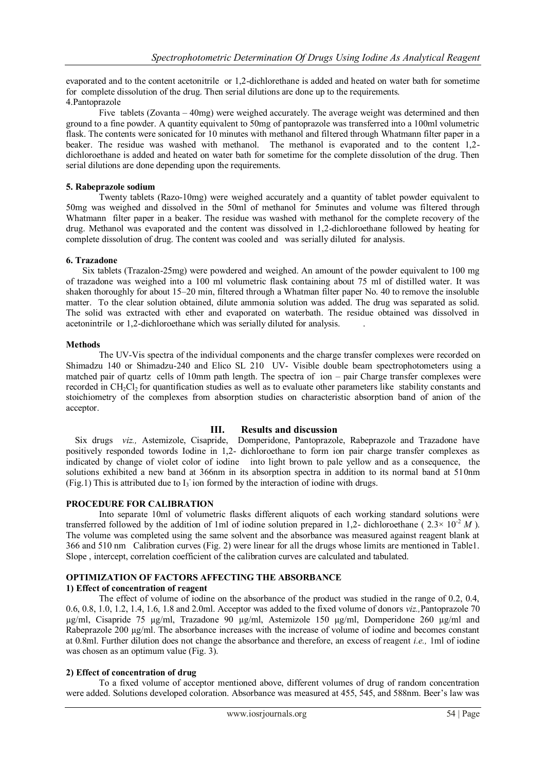evaporated and to the content acetonitrile or 1,2-dichlorethane is added and heated on water bath for sometime for complete dissolution of the drug. Then serial dilutions are done up to the requirements. 4.Pantoprazole

Five tablets (Zovanta – 40mg) were weighed accurately. The average weight was determined and then ground to a fine powder. A quantity equivalent to 50mg of pantoprazole was transferred into a 100ml volumetric flask. The contents were sonicated for 10 minutes with methanol and filtered through Whatmann filter paper in a beaker. The residue was washed with methanol. The methanol is evaporated and to the content 1,2 dichloroethane is added and heated on water bath for sometime for the complete dissolution of the drug. Then serial dilutions are done depending upon the requirements.

## **5. Rabeprazole sodium**

Twenty tablets (Razo-10mg) were weighed accurately and a quantity of tablet powder equivalent to 50mg was weighed and dissolved in the 50ml of methanol for 5minutes and volume was filtered through Whatmann filter paper in a beaker. The residue was washed with methanol for the complete recovery of the drug. Methanol was evaporated and the content was dissolved in 1,2-dichloroethane followed by heating for complete dissolution of drug. The content was cooled and was serially diluted for analysis.

## **6. Trazadone**

Six tablets (Trazalon-25mg) were powdered and weighed. An amount of the powder equivalent to 100 mg of trazadone was weighed into a 100 ml volumetric flask containing about 75 ml of distilled water. It was shaken thoroughly for about 15–20 min, filtered through a Whatman filter paper No. 40 to remove the insoluble matter. To the clear solution obtained, dilute ammonia solution was added. The drug was separated as solid. The solid was extracted with ether and evaporated on waterbath. The residue obtained was dissolved in acetonintrile or 1,2-dichloroethane which was serially diluted for analysis. .

## **Methods**

The UV-Vis spectra of the individual components and the charge transfer complexes were recorded on Shimadzu 140 or Shimadzu-240 and Elico SL 210 UV- Visible double beam spectrophotometers using a matched pair of quartz cells of 10mm path length. The spectra of ion – pair Charge transfer complexes were recorded in CH<sub>2</sub>Cl<sub>2</sub> for quantification studies as well as to evaluate other parameters like stability constants and stoichiometry of the complexes from absorption studies on characteristic absorption band of anion of the acceptor.

# **III. Results and discussion**

 Six drugs *viz.,* Astemizole, Cisapride, Domperidone, Pantoprazole, Rabeprazole and Trazadone have positively responded towords Iodine in 1,2- dichloroethane to form ion pair charge transfer complexes as indicated by change of violet color of iodine into light brown to pale yellow and as a consequence, the solutions exhibited a new band at 366nm in its absorption spectra in addition to its normal band at 510nm (Fig.1) This is attributed due to  $I_3$  ion formed by the interaction of iodine with drugs.

# **PROCEDURE FOR CALIBRATION**

Into separate 10ml of volumetric flasks different aliquots of each working standard solutions were transferred followed by the addition of 1ml of iodine solution prepared in 1,2- dichloroethane ( $2.3 \times 10^{-2} M$ ). The volume was completed using the same solvent and the absorbance was measured against reagent blank at 366 and 510 nm Calibration curves (Fig. 2) were linear for all the drugs whose limits are mentioned in Table1. Slope , intercept, correlation coefficient of the calibration curves are calculated and tabulated.

# **OPTIMIZATION OF FACTORS AFFECTING THE ABSORBANCE**

## **1) Effect of concentration of reagent**

The effect of volume of iodine on the absorbance of the product was studied in the range of 0.2, 0.4, 0.6, 0.8, 1.0, 1.2, 1.4, 1.6, 1.8 and 2.0ml. Acceptor was added to the fixed volume of donors *viz.,*Pantoprazole 70 µg/ml, Cisapride 75 µg/ml, Trazadone 90 µg/ml, Astemizole 150 µg/ml, Domperidone 260 µg/ml and Rabeprazole 200  $\mu$ g/ml. The absorbance increases with the increase of volume of iodine and becomes constant at 0.8ml. Further dilution does not change the absorbance and therefore, an excess of reagent *i.e.,* 1ml of iodine was chosen as an optimum value (Fig. 3).

#### **2) Effect of concentration of drug**

To a fixed volume of acceptor mentioned above, different volumes of drug of random concentration were added. Solutions developed coloration. Absorbance was measured at 455, 545, and 588nm. Beer's law was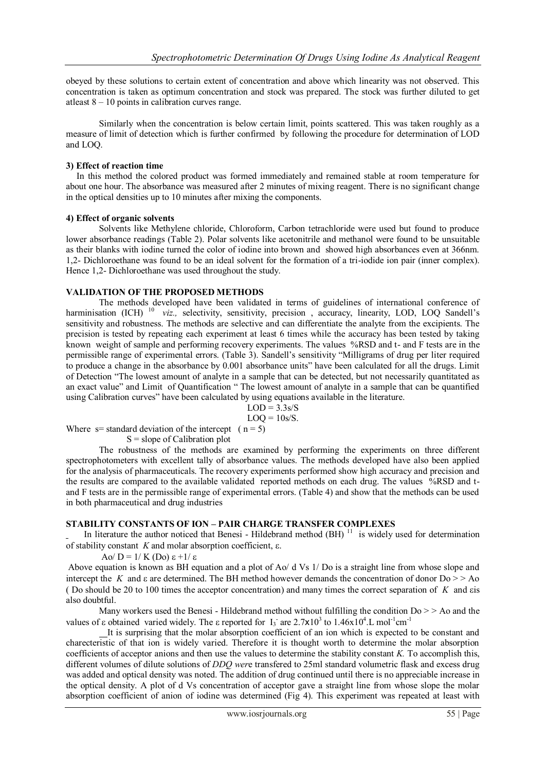obeyed by these solutions to certain extent of concentration and above which linearity was not observed. This concentration is taken as optimum concentration and stock was prepared. The stock was further diluted to get atleast 8 – 10 points in calibration curves range.

Similarly when the concentration is below certain limit, points scattered. This was taken roughly as a measure of limit of detection which is further confirmed by following the procedure for determination of LOD and LOQ.

## **3) Effect of reaction time**

In this method the colored product was formed immediately and remained stable at room temperature for about one hour. The absorbance was measured after 2 minutes of mixing reagent. There is no significant change in the optical densities up to 10 minutes after mixing the components.

## **4) Effect of organic solvents**

Solvents like Methylene chloride, Chloroform, Carbon tetrachloride were used but found to produce lower absorbance readings (Table 2). Polar solvents like acetonitrile and methanol were found to be unsuitable as their blanks with iodine turned the color of iodine into brown and showed high absorbances even at 366nm. 1,2- Dichloroethane was found to be an ideal solvent for the formation of a tri-iodide ion pair (inner complex). Hence 1,2- Dichloroethane was used throughout the study.

## **VALIDATION OF THE PROPOSED METHODS**

The methods developed have been validated in terms of guidelines of international conference of harminisation (ICH) <sup>10</sup> *viz.*, selectivity, sensitivity, precision, accuracy, linearity, LOD, LOQ Sandell's sensitivity and robustness. The methods are selective and can differentiate the analyte from the excipients. The precision is tested by repeating each experiment at least 6 times while the accuracy has been tested by taking known weight of sample and performing recovery experiments. The values %RSD and t- and F tests are in the permissible range of experimental errors. (Table 3). Sandell's sensitivity "Milligrams of drug per liter required to produce a change in the absorbance by 0.001 absorbance units" have been calculated for all the drugs. Limit of Detection "The lowest amount of [analyte](http://www.everythingbio.com/glos/definition.php?ID=2818) in a [sample](http://www.everythingbio.com/glos/definition.php?ID=2419) that can be detected, but not necessarily quantitated as an exact value" and Limit of Quantification " The lowest amount of analyte in a sample that can be quantified using Calibration curves" have been calculated by using equations available in the literature.

$$
LOD = 3.3 \text{s/S}
$$

$$
LOQ = 10s/S.
$$

Where  $s=$  standard deviation of the intercept (  $n = 5$ )

 $S =$ slope of Calibration plot

The robustness of the methods are examined by performing the experiments on three different spectrophotometers with excellent tally of absorbance values. The methods developed have also been applied for the analysis of pharmaceuticals. The recovery experiments performed show high accuracy and precision and the results are compared to the available validated reported methods on each drug. The values %RSD and tand F tests are in the permissible range of experimental errors. (Table 4) and show that the methods can be used in both pharmaceutical and drug industries

# **STABILITY CONSTANTS OF ION – PAIR CHARGE TRANSFER COMPLEXES**

In literature the author noticed that Benesi - Hildebrand method  $(BH)^{11}$  is widely used for determination of stability constant  $K$  and molar absorption coefficient,  $\varepsilon$ .

Ao/ D =  $1/K$  (Do)  $\epsilon$  +1/ $\epsilon$ 

Above equation is known as BH equation and a plot of Ao/ d Vs 1/ Do is a straight line from whose slope and intercept the *K* and  $\epsilon$  are determined. The BH method however demands the concentration of donor Do  $\geq$   $\geq$  Ao ( Do should be 20 to 100 times the acceptor concentration) and many times the correct separation of *K* and is also doubtful.

Many workers used the Benesi - Hildebrand method without fulfilling the condition Do > > Ao and the values of  $\varepsilon$  obtained varied widely. The  $\varepsilon$  reported for  $I_3$  are  $2.7 \times 10^3$  to  $1.46 \times 10^4$ . L mol<sup>-1</sup>cm<sup>-1</sup>

 It is surprising that the molar absorption coefficient of an ion which is expected to be constant and charecteristic of that ion is widely varied. Therefore it is thought worth to determine the molar absorption coefficients of acceptor anions and then use the values to determine the stability constant *K.* To accomplish this, different volumes of dilute solutions of *DDQ wer*e transfered to 25ml standard volumetric flask and excess drug was added and optical density was noted. The addition of drug continued until there is no appreciable increase in the optical density. A plot of d Vs concentration of acceptor gave a straight line from whose slope the molar absorption coefficient of anion of iodine was determined (Fig 4). This experiment was repeated at least with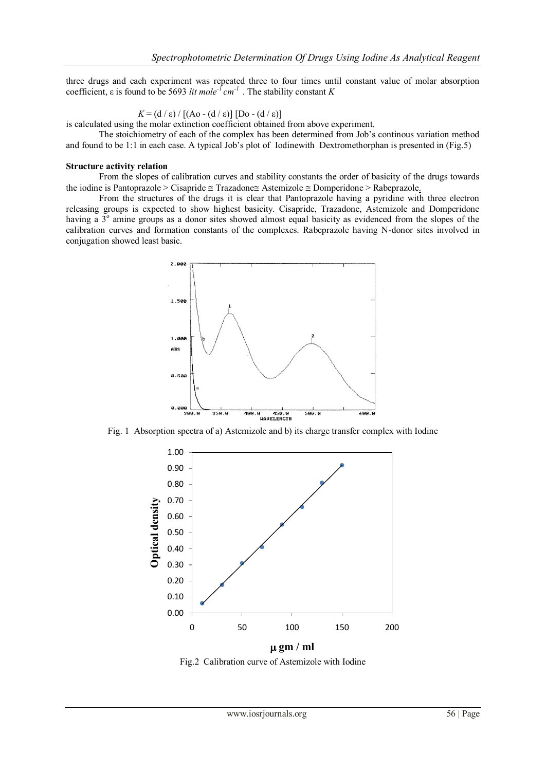three drugs and each experiment was repeated three to four times until constant value of molar absorption coefficient,  $\varepsilon$  is found to be 5693 *lit mole<sup>-1</sup> cm<sup>-1</sup>*. The stability constant *K* 

 $K = (d \mid \varepsilon) / [(A \cdot 0 - (d \mid \varepsilon)] [D \cdot 0 - (d \mid \varepsilon)]$ 

is calculated using the molar extinction coefficient obtained from above experiment.

The stoichiometry of each of the complex has been determined from Job's continous variation method and found to be 1:1 in each case. A typical Job's plot of Iodinewith Dextromethorphan is presented in (Fig.5)

#### **Structure activity relation**

From the slopes of calibration curves and stability constants the order of basicity of the drugs towards the iodine is Pantoprazole > Cisapride  $\cong$  Trazadone $\cong$  Astemizole  $\cong$  Domperidone > Rabeprazole.

From the structures of the drugs it is clear that Pantoprazole having a pyridine with three electron releasing groups is expected to show highest basicity. Cisapride, Trazadone, Astemizole and Domperidone having a 3<sup>°</sup> amine groups as a donor sites showed almost equal basicity as evidenced from the slopes of the calibration curves and formation constants of the complexes. Rabeprazole having N-donor sites involved in conjugation showed least basic.



Fig. 1 Absorption spectra of a) Astemizole and b) its charge transfer complex with Iodine



Fig.2 Calibration curve of Astemizole with Iodine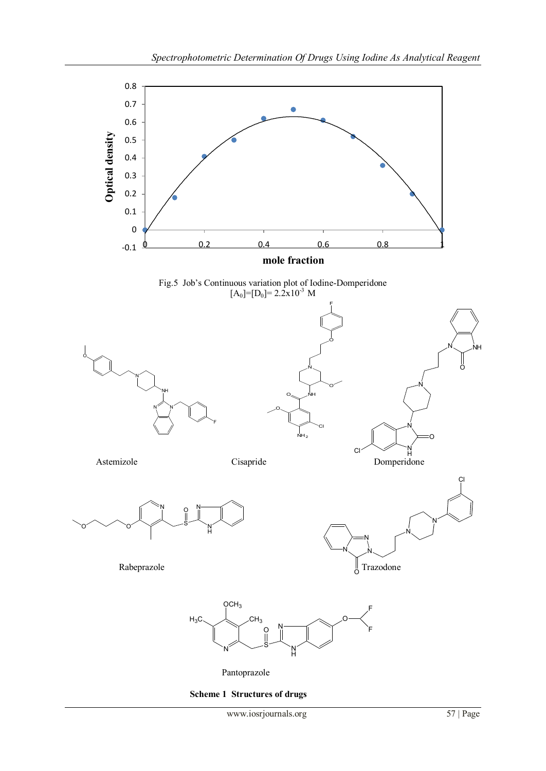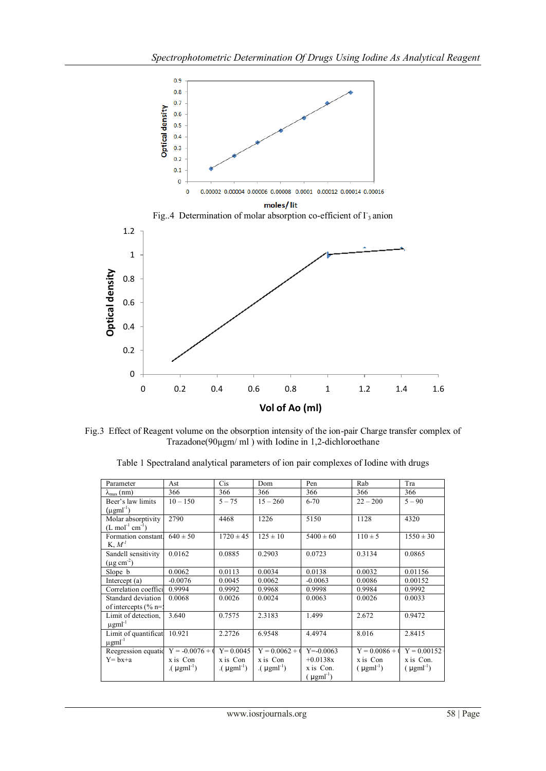

Fig.3 Effect of Reagent volume on the obsorption intensity of the ion-pair Charge transfer complex of Trazadone(90µgm/ ml ) with Iodine in 1,2-dichloroethane

| Parameter                    | Ast                      | Cis              | Dom                     | Pen                       | Rab                     | Tra              |  |
|------------------------------|--------------------------|------------------|-------------------------|---------------------------|-------------------------|------------------|--|
| $\lambda_{\text{max}}$ (nm)  | 366                      | 366              | 366                     | 366                       | 366                     | 366              |  |
| Beer's law limits            | $10 - 150$               | $5 - 75$         | $15 - 260$              | $6 - 70$                  | $22 - 200$              | $5 - 90$         |  |
| $(\mu$ gml <sup>-1</sup> )   |                          |                  |                         |                           |                         |                  |  |
| Molar absorptivity           | 2790                     | 4468             | 1226                    | 5150                      | 1128                    | 4320             |  |
| $(L \mod 1 \text{ cm}^{-1})$ |                          |                  |                         |                           |                         |                  |  |
| Formation constant           | $640 \pm 50$             | $1720 \pm 45$    | $125 \pm 10$            | $5400 \pm 60$             | $110 \pm 5$             | $1550 \pm 30$    |  |
| K, M'                        |                          |                  |                         |                           |                         |                  |  |
| Sandell sensitivity          | 0.0162                   | 0.0885           | 0.2903                  | 0.0723                    | 0.3134                  | 0.0865           |  |
| $(\mu g \text{ cm}^{-2})$    |                          |                  |                         |                           |                         |                  |  |
| Slope b                      | 0.0062                   | 0.0113           | 0.0034                  | 0.0138                    | 0.0032                  | 0.01156          |  |
| Intercept (a)                | $-0.0076$                | 0.0045           | 0.0062                  | $-0.0063$                 | 0.0086                  | 0.00152          |  |
| Correlation coeffici         | 0.9994                   | 0.9992           | 0.9968                  | 0.9998                    | 0.9984                  | 0.9992           |  |
| Standard deviation           | 0.0068                   | 0.0026           | 0.0024                  | 0.0063                    | 0.0026                  | 0.0033           |  |
| of intercepts $(\%$ n=:      |                          |                  |                         |                           |                         |                  |  |
| Limit of detection,          | 3.640                    | 0.7575           | 2.3183                  | 1.499                     | 2.672                   | 0.9472           |  |
| $\mu$ gml <sup>-1</sup>      |                          |                  |                         |                           |                         |                  |  |
| Limit of quantificat         | 10.921                   | 2.2726           | 6.9548                  | 4.4974                    | 8.016                   | 2.8415           |  |
| $\mu$ gml <sup>-1</sup>      |                          |                  |                         |                           |                         |                  |  |
| Reegression equation         | $Y = -0.0076 + 0$        | $Y = 0.0045$     | $Y = 0.0062 + 0$        | $Y = -0.0063$             | $Y = 0.0086 + 0$        | $Y = 0.00152$    |  |
| $Y = bx + a$                 | x is Con                 | x is Con         | x is Con                | $+0.0138x$                | x is Con                | x is Con.        |  |
|                              | $(\mu$ gm $I^{\dagger})$ | $(\mu gml^{-1})$ | $(\mu \text{gml}^{-1})$ | x is Con.                 | $(\mu \text{gml}^{-1})$ | $(\mu gml^{-1})$ |  |
|                              |                          |                  |                         | $\mu$ gml <sup>-1</sup> ) |                         |                  |  |

Table 1 Spectraland analytical parameters of ion pair complexes of Iodine with drugs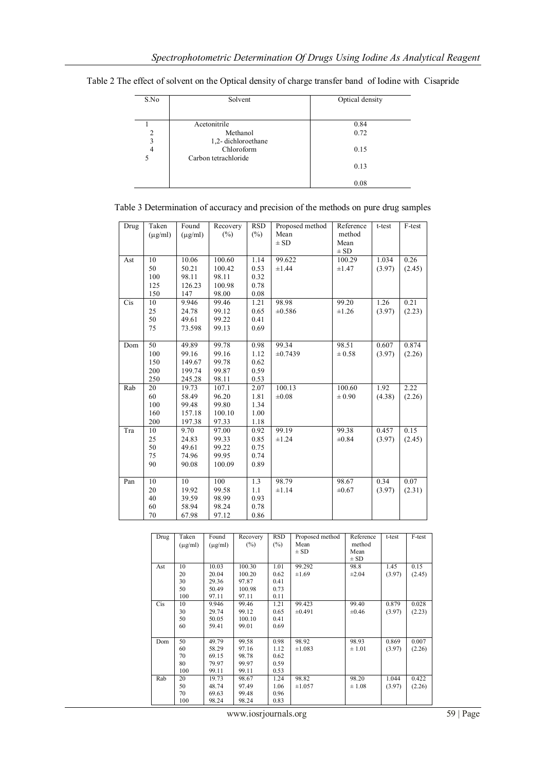| S.No                | Solvent                            | Optical density |
|---------------------|------------------------------------|-----------------|
|                     | Acetonitrile                       | 0.84            |
| 2<br>3              | Methanol<br>1,2-dichloroethane     | 0.72            |
| $\overline{4}$<br>5 | Chloroform<br>Carbon tetrachloride | 0.15            |
|                     |                                    | 0.13            |
|                     |                                    | 0.08            |

Table 2 The effect of solvent on the Optical density of charge transfer band of Iodine with Cisapride

| Table 3 Determination of accuracy and precision of the methods on pure drug samples |  |  |  |  |
|-------------------------------------------------------------------------------------|--|--|--|--|
|-------------------------------------------------------------------------------------|--|--|--|--|

| Drug | Taken        | Found        | Recovery | <b>RSD</b>       | Proposed method | Reference   | t-test | F-test |
|------|--------------|--------------|----------|------------------|-----------------|-------------|--------|--------|
|      | $(\mu$ g/ml) | $(\mu$ g/ml) | $(\%)$   | $(\%)$           | Mean            | method      |        |        |
|      |              |              |          |                  | $\pm$ SD        | Mean        |        |        |
|      |              |              |          |                  |                 | $\pm$ SD    |        |        |
| Ast  | 10           | 10.06        | 100.60   | 1.14             | 99.622          | 100.29      | 1.034  | 0.26   |
|      | 50           | 50.21        | 100.42   | 0.53             | $\pm 1.44$      | $\pm 1.47$  | (3.97) | (2.45) |
|      | 100          | 98.11        | 98.11    | 0.32             |                 |             |        |        |
|      | 125          | 126.23       | 100.98   | 0.78             |                 |             |        |        |
|      | 150          | 147          | 98.00    | 0.08             |                 |             |        |        |
| Cis  | 10           | 9.946        | 99.46    | 1.21             | 98.98           | 99.20       | 1.26   | 0.21   |
|      | 25           | 24.78        | 99.12    | 0.65             | ±0.586          | $\pm 1.26$  | (3.97) | (2.23) |
|      | 50           | 49.61        | 99.22    | 0.41             |                 |             |        |        |
|      | 75           | 73.598       | 99.13    | 0.69             |                 |             |        |        |
|      |              |              |          |                  |                 |             |        |        |
| Dom  | 50           | 49.89        | 99.78    | 0.98             | 99.34           | 98.51       | 0.607  | 0.874  |
|      | 100          | 99.16        | 99.16    | 1.12             | $\pm 0.7439$    | ± 0.58      | (3.97) | (2.26) |
|      | 150          | 149.67       | 99.78    | 0.62             |                 |             |        |        |
|      | 200          | 199.74       | 99.87    | 0.59             |                 |             |        |        |
|      | 250          | 245.28       | 98.11    | 0.53             |                 |             |        |        |
| Rab  | 20           | 19.73        | 107.1    | 2.07             | 100.13          | 100.60      | 1.92   | 2.22   |
|      | 60           | 58.49        | 96.20    | 1.81             | $\pm 0.08$      | $\pm\,0.90$ | (4.38) | (2.26) |
|      | 100          | 99.48        | 99.80    | 1.34             |                 |             |        |        |
|      | 160          | 157.18       | 100.10   | 1.00             |                 |             |        |        |
|      | 200          | 197.38       | 97.33    | 1.18             |                 |             |        |        |
| Tra  | 10           | 9.70         | 97.00    | 0.92             | 99.19           | 99.38       | 0.457  | 0.15   |
|      | 25           | 24.83        | 99.33    | 0.85             | $\pm 1.24$      | $\pm 0.84$  | (3.97) | (2.45) |
|      | 50           | 49.61        | 99.22    | 0.75             |                 |             |        |        |
|      | 75           | 74.96        | 99.95    | 0.74             |                 |             |        |        |
|      | 90           | 90.08        | 100.09   | 0.89             |                 |             |        |        |
|      |              |              |          |                  |                 |             |        |        |
| Pan  | 10           | 10           | 100      | $\overline{1.3}$ | 98.79           | 98.67       | 0.34   | 0.07   |
|      | 20           | 19.92        | 99.58    | 1.1              | ±1.14           | $\pm 0.67$  | (3.97) | (2.31) |
|      | 40           | 39.59        | 98.99    | 0.93             |                 |             |        |        |
|      | 60           | 58.94        | 98.24    | 0.78             |                 |             |        |        |
|      | 70           | 67.98        | 97.12    | 0.86             |                 |             |        |        |

| Drug       | Taken        | Found        | Recovery | <b>RSD</b> | Proposed method | Reference  | t-test | F-test |
|------------|--------------|--------------|----------|------------|-----------------|------------|--------|--------|
|            | $(\mu$ g/ml) | $(\mu g/ml)$ | $(\%)$   | $(\% )$    | Mean            | method     |        |        |
|            |              |              |          |            | $\pm$ SD        | Mean       |        |        |
|            |              |              |          |            |                 | $\pm$ SD   |        |        |
| Ast        | 10           | 10.03        | 100.30   | 1.01       | 99.292          | 98.8       | 1.45   | 0.15   |
|            | 20           | 20.04        | 100.20   | 0.62       | $\pm 1.69$      | $\pm 2.04$ | (3.97) | (2.45) |
|            | 30           | 29.36        | 97.87    | 0.41       |                 |            |        |        |
|            | 50           | 50.49        | 100.98   | 0.73       |                 |            |        |        |
|            | 100          | 97.11        | 97.11    | 0.11       |                 |            |        |        |
| <b>Cis</b> | 10           | 9.946        | 99.46    | 1.21       | 99.423          | 99.40      | 0.879  | 0.028  |
|            | 30           | 29.74        | 99.12    | 0.65       | $\pm 0.491$     | $\pm 0.46$ | (3.97) | (2.23) |
|            | 50           | 50.05        | 100.10   | 0.41       |                 |            |        |        |
|            | 60           | 59.41        | 99.01    | 0.69       |                 |            |        |        |
|            |              |              |          |            |                 |            |        |        |
| Dom        | 50           | 49.79        | 99.58    | 0.98       | 98.92           | 98.93      | 0.869  | 0.007  |
|            | 60           | 58.29        | 97.16    | 1.12       | ±1.083          | $\pm 1.01$ | (3.97) | (2.26) |
|            | 70           | 69.15        | 98.78    | 0.62       |                 |            |        |        |
|            | 80           | 79.97        | 99.97    | 0.59       |                 |            |        |        |
|            | 100          | 99.11        | 99.11    | 0.53       |                 |            |        |        |
| Rab        | 20           | 19.73        | 98.67    | 1.24       | 98.82           | 98.20      | 1.044  | 0.422  |
|            | 50           | 48.74        | 97.49    | 1.06       | ±1.057          | $\pm 1.08$ | (3.97) | (2.26) |
|            | 70           | 69.63        | 99.48    | 0.96       |                 |            |        |        |
|            | 100          | 98.24        | 98.24    | 0.83       |                 |            |        |        |